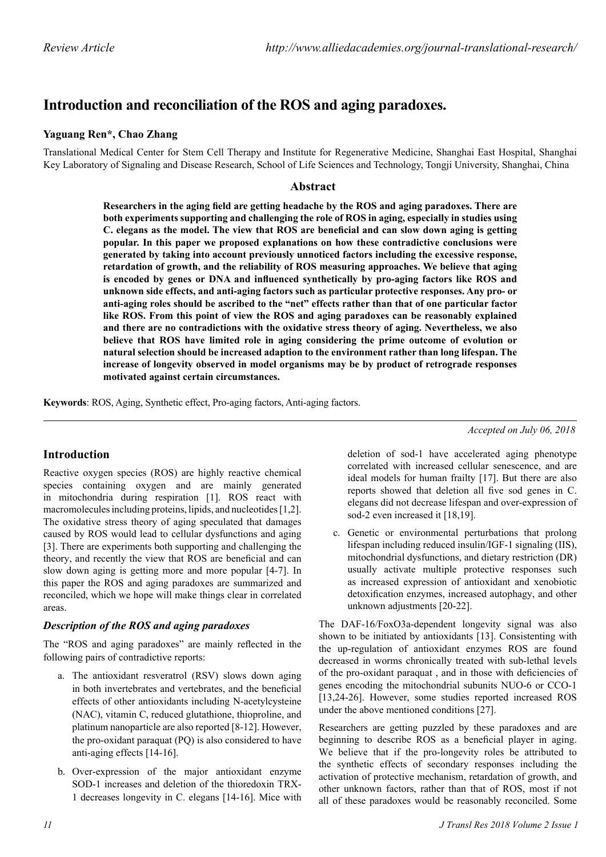# **Introduction and reconciliation of the ROS and aging paradoxes.**

## **Yaguang Ren\*, Chao Zhang**

Translational Medical Center for Stem Cell Therapy and Institute for Regenerative Medicine, Shanghai East Hospital, Shanghai Key Laboratory of Signaling and Disease Research, School of Life Sciences and Technology, Tongji University, Shanghai, China

### **Abstract**

**Researchers in the aging field are getting headache by the ROS and aging paradoxes. There are both experiments supporting and challenging the role of ROS in aging, especially in studies using C. elegans as the model. The view that ROS are beneficial and can slow down aging is getting popular. In this paper we proposed explanations on how these contradictive conclusions were generated by taking into account previously unnoticed factors including the excessive response, retardation of growth, and the reliability of ROS measuring approaches. We believe that aging is encoded by genes or DNA and influenced synthetically by pro-aging factors like ROS and unknown side effects, and anti-aging factors such as particular protective responses. Any pro- or anti-aging roles should be ascribed to the "net" effects rather than that of one particular factor like ROS. From this point of view the ROS and aging paradoxes can be reasonably explained and there are no contradictions with the oxidative stress theory of aging. Nevertheless, we also believe that ROS have limited role in aging considering the prime outcome of evolution or natural selection should be increased adaption to the environment rather than long lifespan. The increase of longevity observed in model organisms may be by product of retrograde responses motivated against certain circumstances.**

**Keywords**: ROS, Aging, Synthetic effect, Pro-aging factors, Anti-aging factors.

**Introduction**

Reactive oxygen species (ROS) are highly reactive chemical species containing oxygen and are mainly generated in mitochondria during respiration [1]. ROS react with macromolecules including proteins, lipids, and nucleotides [1,2]. The oxidative stress theory of aging speculated that damages caused by ROS would lead to cellular dysfunctions and aging [3]. There are experiments both supporting and challenging the theory, and recently the view that ROS are beneficial and can slow down aging is getting more and more popular [4-7]. In this paper the ROS and aging paradoxes are summarized and reconciled, which we hope will make things clear in correlated areas.

## *Description of the ROS and aging paradoxes*

The "ROS and aging paradoxes" are mainly reflected in the following pairs of contradictive reports:

- a. The antioxidant resveratrol (RSV) slows down aging in both invertebrates and vertebrates, and the beneficial effects of other antioxidants including N-acetylcysteine (NAC), vitamin C, reduced glutathione, thioproline, and platinum nanoparticle are also reported [8-12]. However, the pro-oxidant paraquat (PQ) is also considered to have anti-aging effects [14-16].
- b. Over-expression of the major antioxidant enzyme SOD-1 increases and deletion of the thioredoxin TRX-1 decreases longevity in C. elegans [14-16]. Mice with

deletion of sod-1 have accelerated aging phenotype correlated with increased cellular senescence, and are ideal models for human frailty [17]. But there are also reports showed that deletion all five sod genes in C. elegans did not decrease lifespan and over-expression of sod-2 even increased it [18,19].

*Accepted on July 06, 2018*

c. Genetic or environmental perturbations that prolong lifespan including reduced insulin/IGF-1 signaling (IIS), mitochondrial dysfunctions, and dietary restriction (DR) usually activate multiple protective responses such as increased expression of antioxidant and xenobiotic detoxification enzymes, increased autophagy, and other unknown adjustments [20-22].

The DAF-16/FoxO3a-dependent longevity signal was also shown to be initiated by antioxidants [13]. Consistenting with the up-regulation of antioxidant enzymes ROS are found decreased in worms chronically treated with sub-lethal levels of the pro-oxidant paraquat , and in those with deficiencies of genes encoding the mitochondrial subunits NUO-6 or CCO-1 [13,24-26]. However, some studies reported increased ROS under the above mentioned conditions [27].

Researchers are getting puzzled by these paradoxes and are beginning to describe ROS as a beneficial player in aging. We believe that if the pro-longevity roles be attributed to the synthetic effects of secondary responses including the activation of protective mechanism, retardation of growth, and other unknown factors, rather than that of ROS, most if not all of these paradoxes would be reasonably reconciled. Some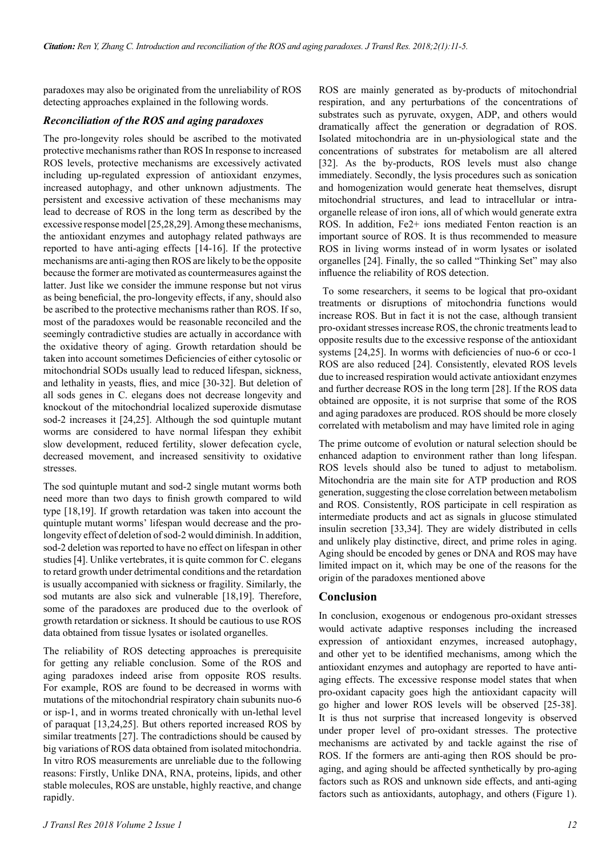paradoxes may also be originated from the unreliability of ROS detecting approaches explained in the following words.

#### *Reconciliation of the ROS and aging paradoxes*

The pro-longevity roles should be ascribed to the motivated protective mechanisms rather than ROS In response to increased ROS levels, protective mechanisms are excessively activated including up-regulated expression of antioxidant enzymes, increased autophagy, and other unknown adjustments. The persistent and excessive activation of these mechanisms may lead to decrease of ROS in the long term as described by the excessive response model [25,28,29]. Among these mechanisms, the antioxidant enzymes and autophagy related pathways are reported to have anti-aging effects [14-16]. If the protective mechanisms are anti-aging then ROS are likely to be the opposite because the former are motivated as countermeasures against the latter. Just like we consider the immune response but not virus as being beneficial, the pro-longevity effects, if any, should also be ascribed to the protective mechanisms rather than ROS. If so, most of the paradoxes would be reasonable reconciled and the seemingly contradictive studies are actually in accordance with the oxidative theory of aging. Growth retardation should be taken into account sometimes Deficiencies of either cytosolic or mitochondrial SODs usually lead to reduced lifespan, sickness, and lethality in yeasts, flies, and mice [30-32]. But deletion of all sods genes in C. elegans does not decrease longevity and knockout of the mitochondrial localized superoxide dismutase sod-2 increases it [24,25]. Although the sod quintuple mutant worms are considered to have normal lifespan they exhibit slow development, reduced fertility, slower defecation cycle, decreased movement, and increased sensitivity to oxidative stresses.

The sod quintuple mutant and sod-2 single mutant worms both need more than two days to finish growth compared to wild type [18,19]. If growth retardation was taken into account the quintuple mutant worms' lifespan would decrease and the prolongevity effect of deletion of sod-2 would diminish. In addition, sod-2 deletion was reported to have no effect on lifespan in other studies [4]. Unlike vertebrates, it is quite common for C. elegans to retard growth under detrimental conditions and the retardation is usually accompanied with sickness or fragility. Similarly, the sod mutants are also sick and vulnerable [18,19]. Therefore, some of the paradoxes are produced due to the overlook of growth retardation or sickness. It should be cautious to use ROS data obtained from tissue lysates or isolated organelles.

The reliability of ROS detecting approaches is prerequisite for getting any reliable conclusion. Some of the ROS and aging paradoxes indeed arise from opposite ROS results. For example, ROS are found to be decreased in worms with mutations of the mitochondrial respiratory chain subunits nuo-6 or isp-1, and in worms treated chronically with un-lethal level of paraquat [13,24,25]. But others reported increased ROS by similar treatments [27]. The contradictions should be caused by big variations of ROS data obtained from isolated mitochondria. In vitro ROS measurements are unreliable due to the following reasons: Firstly, Unlike DNA, RNA, proteins, lipids, and other stable molecules, ROS are unstable, highly reactive, and change rapidly.

ROS are mainly generated as by-products of mitochondrial respiration, and any perturbations of the concentrations of substrates such as pyruvate, oxygen, ADP, and others would dramatically affect the generation or degradation of ROS. Isolated mitochondria are in un-physiological state and the concentrations of substrates for metabolism are all altered [32]. As the by-products, ROS levels must also change immediately. Secondly, the lysis procedures such as sonication and homogenization would generate heat themselves, disrupt mitochondrial structures, and lead to intracellular or intraorganelle release of iron ions, all of which would generate extra ROS. In addition, Fe2+ ions mediated Fenton reaction is an important source of ROS. It is thus recommended to measure ROS in living worms instead of in worm lysates or isolated organelles [24]. Finally, the so called "Thinking Set" may also influence the reliability of ROS detection.

 To some researchers, it seems to be logical that pro-oxidant treatments or disruptions of mitochondria functions would increase ROS. But in fact it is not the case, although transient pro-oxidant stresses increase ROS, the chronic treatments lead to opposite results due to the excessive response of the antioxidant systems [24,25]. In worms with deficiencies of nuo-6 or cco-1 ROS are also reduced [24]. Consistently, elevated ROS levels due to increased respiration would activate antioxidant enzymes and further decrease ROS in the long term [28]. If the ROS data obtained are opposite, it is not surprise that some of the ROS and aging paradoxes are produced. ROS should be more closely correlated with metabolism and may have limited role in aging

The prime outcome of evolution or natural selection should be enhanced adaption to environment rather than long lifespan. ROS levels should also be tuned to adjust to metabolism. Mitochondria are the main site for ATP production and ROS generation, suggesting the close correlation between metabolism and ROS. Consistently, ROS participate in cell respiration as intermediate products and act as signals in glucose stimulated insulin secretion [33,34]. They are widely distributed in cells and unlikely play distinctive, direct, and prime roles in aging. Aging should be encoded by genes or DNA and ROS may have limited impact on it, which may be one of the reasons for the origin of the paradoxes mentioned above

#### **Conclusion**

In conclusion, exogenous or endogenous pro-oxidant stresses would activate adaptive responses including the increased expression of antioxidant enzymes, increased autophagy, and other yet to be identified mechanisms, among which the antioxidant enzymes and autophagy are reported to have antiaging effects. The excessive response model states that when pro-oxidant capacity goes high the antioxidant capacity will go higher and lower ROS levels will be observed [25-38]. It is thus not surprise that increased longevity is observed under proper level of pro-oxidant stresses. The protective mechanisms are activated by and tackle against the rise of ROS. If the formers are anti-aging then ROS should be proaging, and aging should be affected synthetically by pro-aging factors such as ROS and unknown side effects, and anti-aging factors such as antioxidants, autophagy, and others (Figure 1).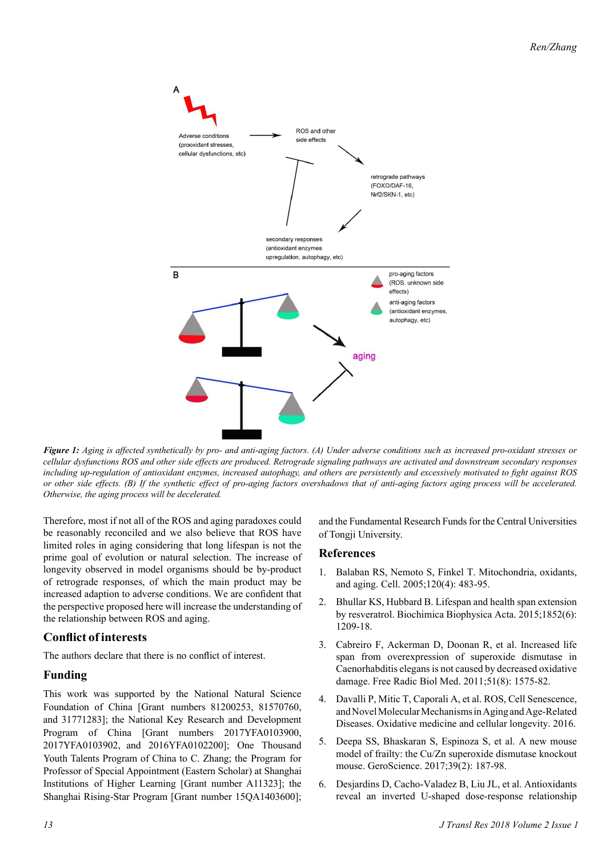

*Figure 1: Aging is affected synthetically by pro- and anti-aging factors. (A) Under adverse conditions such as increased pro-oxidant stresses or cellular dysfunctions ROS and other side effects are produced. Retrograde signaling pathways are activated and downstream secondary responses including up-regulation of antioxidant enzymes, increased autophagy, and others are persistently and excessively motivated to fight against ROS or other side effects. (B) If the synthetic effect of pro-aging factors overshadows that of anti-aging factors aging process will be accelerated. Otherwise, the aging process will be decelerated.*

Therefore, most if not all of the ROS and aging paradoxes could be reasonably reconciled and we also believe that ROS have limited roles in aging considering that long lifespan is not the prime goal of evolution or natural selection. The increase of longevity observed in model organisms should be by-product of retrograde responses, of which the main product may be increased adaption to adverse conditions. We are confident that the perspective proposed here will increase the understanding of the relationship between ROS and aging.

## **Conflict of interests**

The authors declare that there is no conflict of interest.

## **Funding**

This work was supported by the National Natural Science Foundation of China [Grant numbers 81200253, 81570760, and 31771283]; the National Key Research and Development Program of China [Grant numbers 2017YFA0103900, 2017YFA0103902, and 2016YFA0102200]; One Thousand Youth Talents Program of China to C. Zhang; the Program for Professor of Special Appointment (Eastern Scholar) at Shanghai Institutions of Higher Learning [Grant number A11323]; the Shanghai Rising-Star Program [Grant number 15QA1403600]; and the Fundamental Research Funds for the Central Universities of Tongji University.

#### **References**

- 1. Balaban RS, Nemoto S, Finkel T. Mitochondria, oxidants, and aging. Cell. 2005;120(4): 483-95.
- 2. Bhullar KS, Hubbard B. Lifespan and health span extension by resveratrol. Biochimica Biophysica Acta. 2015;1852(6): 1209-18.
- 3. Cabreiro F, Ackerman D, Doonan R, et al. Increased life span from overexpression of superoxide dismutase in Caenorhabditis elegans is not caused by decreased oxidative damage. Free Radic Biol Med. 2011;51(8): 1575-82.
- 4. Davalli P, Mitic T, Caporali A, et al. ROS, Cell Senescence, and Novel Molecular Mechanisms in Aging and Age-Related Diseases. Oxidative medicine and cellular longevity. 2016.
- 5. Deepa SS, Bhaskaran S, Espinoza S, et al. A new mouse model of frailty: the Cu/Zn superoxide dismutase knockout mouse. GeroScience. 2017;39(2): 187-98.
- 6. Desjardins D, Cacho-Valadez B, Liu JL, et al. Antioxidants reveal an inverted U-shaped dose-response relationship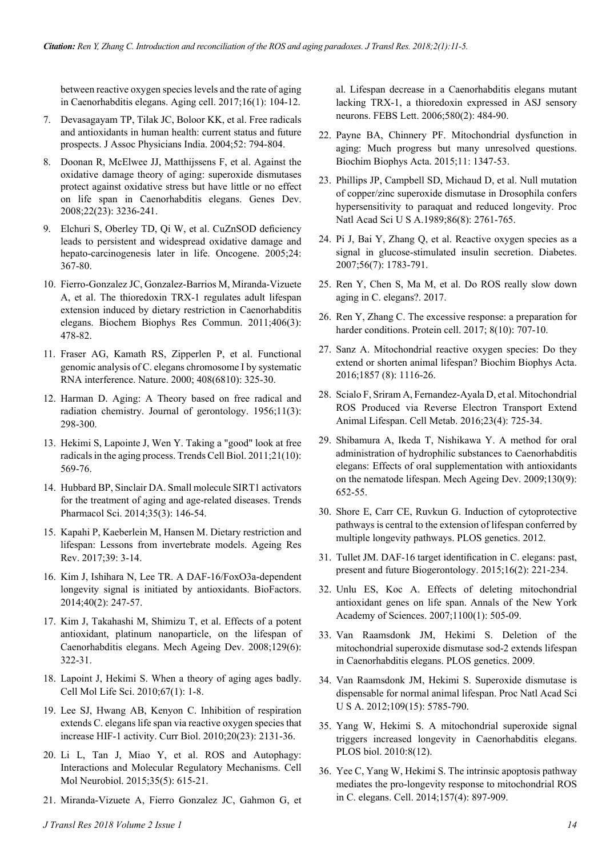between reactive oxygen species levels and the rate of aging in Caenorhabditis elegans. Aging cell. 2017;16(1): 104-12.

- 7. Devasagayam TP, Tilak JC, Boloor KK, et al. Free radicals and antioxidants in human health: current status and future prospects. J Assoc Physicians India. 2004;52: 794-804.
- 8. Doonan R, McElwee JJ, Matthijssens F, et al. Against the oxidative damage theory of aging: superoxide dismutases protect against oxidative stress but have little or no effect on life span in Caenorhabditis elegans. Genes Dev. 2008;22(23): 3236-241.
- 9. Elchuri S, Oberley TD, Qi W, et al. CuZnSOD deficiency leads to persistent and widespread oxidative damage and hepato-carcinogenesis later in life. Oncogene. 2005;24: 367-80.
- 10. Fierro-Gonzalez JC, Gonzalez-Barrios M, Miranda-Vizuete A, et al. The thioredoxin TRX-1 regulates adult lifespan extension induced by dietary restriction in Caenorhabditis elegans. Biochem Biophys Res Commun. 2011;406(3): 478-82.
- 11. Fraser AG, Kamath RS, Zipperlen P, et al. Functional genomic analysis of C. elegans chromosome I by systematic RNA interference. Nature. 2000; 408(6810): 325-30.
- 12. Harman D. Aging: A Theory based on free radical and radiation chemistry. Journal of gerontology. 1956;11(3): 298-300.
- 13. Hekimi S, Lapointe J, Wen Y. Taking a "good" look at free radicals in the aging process. Trends Cell Biol. 2011;21(10): 569-76.
- 14. Hubbard BP, Sinclair DA. Small molecule SIRT1 activators for the treatment of aging and age-related diseases. Trends Pharmacol Sci. 2014;35(3): 146-54.
- 15. Kapahi P, Kaeberlein M, Hansen M. Dietary restriction and lifespan: Lessons from invertebrate models. Ageing Res Rev. 2017;39: 3-14.
- 16. Kim J, Ishihara N, Lee TR. A DAF-16/FoxO3a-dependent longevity signal is initiated by antioxidants. BioFactors. 2014;40(2): 247-57.
- 17. Kim J, Takahashi M, Shimizu T, et al. Effects of a potent antioxidant, platinum nanoparticle, on the lifespan of Caenorhabditis elegans. Mech Ageing Dev. 2008;129(6): 322-31.
- 18. Lapoint J, Hekimi S. When a theory of aging ages badly. Cell Mol Life Sci. 2010;67(1): 1-8.
- 19. Lee SJ, Hwang AB, Kenyon C. Inhibition of respiration extends C. elegans life span via reactive oxygen species that increase HIF-1 activity. Curr Biol. 2010;20(23): 2131-36.
- 20. Li L, Tan J, Miao Y, et al. ROS and Autophagy: Interactions and Molecular Regulatory Mechanisms. Cell Mol Neurobiol. 2015;35(5): 615-21.
- 21. Miranda-Vizuete A, Fierro Gonzalez JC, Gahmon G, et

al. Lifespan decrease in a Caenorhabditis elegans mutant lacking TRX-1, a thioredoxin expressed in ASJ sensory neurons. FEBS Lett. 2006;580(2): 484-90.

- 22. Payne BA, Chinnery PF. Mitochondrial dysfunction in aging: Much progress but many unresolved questions. Biochim Biophys Acta. 2015;11: 1347-53.
- 23. Phillips JP, Campbell SD, Michaud D, et al. Null mutation of copper/zinc superoxide dismutase in Drosophila confers hypersensitivity to paraquat and reduced longevity. Proc Natl Acad Sci U S A.1989;86(8): 2761-765.
- 24. Pi J, Bai Y, Zhang Q, et al. Reactive oxygen species as a signal in glucose-stimulated insulin secretion. Diabetes. 2007;56(7): 1783-791.
- 25. Ren Y, Chen S, Ma M, et al. Do ROS really slow down aging in C. elegans?. 2017.
- 26. Ren Y, Zhang C. The excessive response: a preparation for harder conditions. Protein cell. 2017; 8(10): 707-10.
- 27. Sanz A. Mitochondrial reactive oxygen species: Do they extend or shorten animal lifespan? Biochim Biophys Acta. 2016;1857 (8): 1116-26.
- 28. Scialo F, Sriram A, Fernandez-Ayala D, et al. Mitochondrial ROS Produced via Reverse Electron Transport Extend Animal Lifespan. Cell Metab. 2016;23(4): 725-34.
- 29. Shibamura A, Ikeda T, Nishikawa Y. A method for oral administration of hydrophilic substances to Caenorhabditis elegans: Effects of oral supplementation with antioxidants on the nematode lifespan. Mech Ageing Dev. 2009;130(9): 652-55.
- 30. Shore E, Carr CE, Ruvkun G. Induction of cytoprotective pathways is central to the extension of lifespan conferred by multiple longevity pathways. PLOS genetics. 2012.
- 31. Tullet JM. DAF-16 target identification in C. elegans: past, present and future Biogerontology. 2015;16(2): 221-234.
- 32. Unlu ES, Koc A. Effects of deleting mitochondrial antioxidant genes on life span. Annals of the New York Academy of Sciences. 2007;1100(1): 505-09.
- 33. Van Raamsdonk JM, Hekimi S. Deletion of the mitochondrial superoxide dismutase sod-2 extends lifespan in Caenorhabditis elegans. PLOS genetics. 2009.
- 34. Van Raamsdonk JM, Hekimi S. Superoxide dismutase is dispensable for normal animal lifespan. Proc Natl Acad Sci U S A. 2012;109(15): 5785-790.
- 35. Yang W, Hekimi S. A mitochondrial superoxide signal triggers increased longevity in Caenorhabditis elegans. PLOS biol. 2010:8(12).
- 36. Yee C, Yang W, Hekimi S. The intrinsic apoptosis pathway mediates the pro-longevity response to mitochondrial ROS in C. elegans. Cell. 2014;157(4): 897-909.